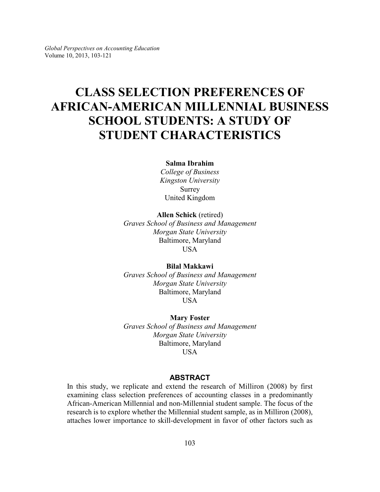*Global Perspectives on Accounting Education* Volume 10, 2013, 103-121

# **CLASS SELECTION PREFERENCES OF AFRICAN-AMERICAN MILLENNIAL BUSINESS SCHOOL STUDENTS: A STUDY OF STUDENT CHARACTERISTICS**

### **Salma Ibrahim**

*College of Business Kingston University* Surrey United Kingdom

**Allen Schick** (retired)

*Graves School of Business and Management Morgan State University* Baltimore, Maryland USA

# **Bilal Makkawi**

*Graves School of Business and Management Morgan State University* Baltimore, Maryland **USA** 

**Mary Foster** *Graves School of Business and Management Morgan State University* Baltimore, Maryland USA

### **ABSTRACT**

In this study, we replicate and extend the research of Milliron (2008) by first examining class selection preferences of accounting classes in a predominantly African-American Millennial and non-Millennial student sample. The focus of the research is to explore whether the Millennial student sample, as in Milliron (2008), attaches lower importance to skill-development in favor of other factors such as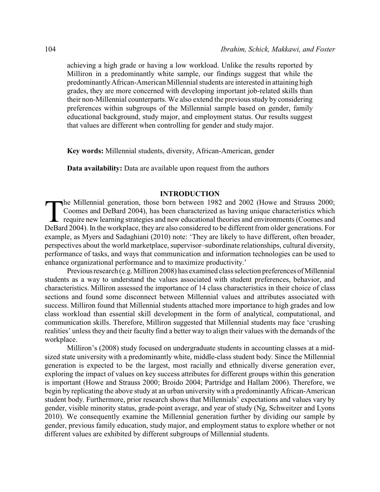achieving a high grade or having a low workload. Unlike the results reported by Milliron in a predominantly white sample, our findings suggest that while the predominantlyAfrican-American Millennial students are interested in attaining high grades, they are more concerned with developing important job-related skills than their non-Millennial counterparts. We also extend the previous study by considering preferences within subgroups of the Millennial sample based on gender, family educational background, study major, and employment status. Our results suggest that values are different when controlling for gender and study major.

**Key words:** Millennial students, diversity, African-American, gender

**Data availability:** Data are available upon request from the authors

#### **INTRODUCTION**

The Millennial generation, those born between 1982 and 2002 (Howe and Strauss 2000; Coomes and DeBard 2004), has been characterized as having unique characteristics which require new learning strategies and new educational he Millennial generation, those born between 1982 and 2002 (Howe and Strauss 2000; Coomes and DeBard 2004), has been characterized as having unique characteristics which require new learning strategies and new educational theories and environments (Coomes and example, as Myers and Sadaghiani (2010) note: 'They are likely to have different, often broader, perspectives about the world marketplace, supervisor–subordinate relationships, cultural diversity, performance of tasks, and ways that communication and information technologies can be used to enhance organizational performance and to maximize productivity.'

Previous research (e.g. Milliron 2008) has examined class selection preferences of Millennial students as a way to understand the values associated with student preferences, behavior, and characteristics. Milliron assessed the importance of 14 class characteristics in their choice of class sections and found some disconnect between Millennial values and attributes associated with success. Milliron found that Millennial students attached more importance to high grades and low class workload than essential skill development in the form of analytical, computational, and communication skills. Therefore, Milliron suggested that Millennial students may face 'crushing realities' unless they and their faculty find a better way to align their values with the demands of the workplace.

Milliron's (2008) study focused on undergraduate students in accounting classes at a midsized state university with a predominantly white, middle-class student body. Since the Millennial generation is expected to be the largest, most racially and ethnically diverse generation ever, exploring the impact of values on key success attributes for different groups within this generation is important (Howe and Strauss 2000; Broido 2004; Partridge and Hallam 2006). Therefore, we begin by replicating the above study at an urban university with a predominantly African-American student body. Furthermore, prior research shows that Millennials' expectations and values vary by gender, visible minority status, grade-point average, and year of study (Ng, Schweitzer and Lyons 2010). We consequently examine the Millennial generation further by dividing our sample by gender, previous family education, study major, and employment status to explore whether or not different values are exhibited by different subgroups of Millennial students.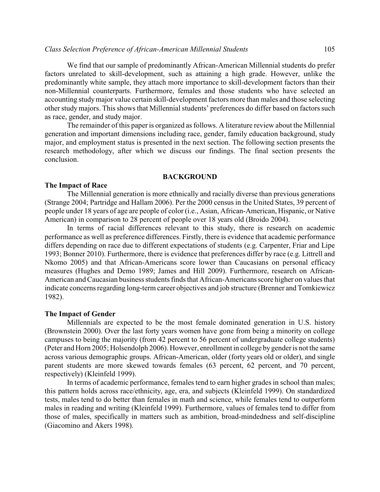We find that our sample of predominantly African-American Millennial students do prefer factors unrelated to skill-development, such as attaining a high grade. However, unlike the predominantly white sample, they attach more importance to skill-development factors than their non-Millennial counterparts. Furthermore, females and those students who have selected an accounting studymajor value certain skill-development factors more than males and those selecting other study majors. This shows that Millennial students' preferences do differ based on factors such as race, gender, and study major.

The remainder of this paper is organized as follows. A literature review about the Millennial generation and important dimensions including race, gender, family education background, study major, and employment status is presented in the next section. The following section presents the research methodology, after which we discuss our findings. The final section presents the conclusion.

#### **BACKGROUND**

# **The Impact of Race**

The Millennial generation is more ethnically and racially diverse than previous generations (Strange 2004; Partridge and Hallam 2006). Per the 2000 census in the United States, 39 percent of people under 18 years of age are people of color (i.e., Asian, African-American, Hispanic, or Native American) in comparison to 28 percent of people over 18 years old (Broido 2004).

In terms of racial differences relevant to this study, there is research on academic performance as well as preference differences. Firstly, there is evidence that academic performance differs depending on race due to different expectations of students (e.g. Carpenter, Friar and Lipe 1993; Bonner 2010). Furthermore, there is evidence that preferences differ by race (e.g. Littrell and Nkomo 2005) and that African-Americans score lower than Caucasians on personal efficacy measures (Hughes and Demo 1989; James and Hill 2009). Furthermore, research on African-American and Caucasian business students finds that African-Americans score higher on values that indicate concerns regarding long-term career objectives and job structure (Brenner and Tomkiewicz 1982).

# **The Impact of Gender**

Millennials are expected to be the most female dominated generation in U.S. history (Brownstein 2000). Over the last forty years women have gone from being a minority on college campuses to being the majority (from 42 percent to 56 percent of undergraduate college students) (Peter and Horn 2005; Holsendolph 2006). However, enrollment in college by gender is not the same across various demographic groups. African-American, older (forty years old or older), and single parent students are more skewed towards females (63 percent, 62 percent, and 70 percent, respectively) (Kleinfeld 1999).

In terms of academic performance, females tend to earn higher grades in school than males; this pattern holds across race/ethnicity, age, era, and subjects (Kleinfeld 1999). On standardized tests, males tend to do better than females in math and science, while females tend to outperform males in reading and writing (Kleinfeld 1999). Furthermore, values of females tend to differ from those of males, specifically in matters such as ambition, broad-mindedness and self-discipline (Giacomino and Akers 1998).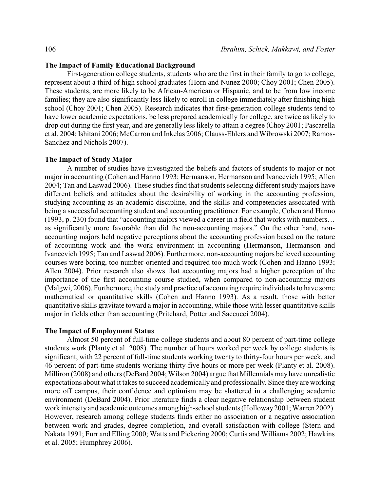# **The Impact of Family Educational Background**

First-generation college students, students who are the first in their family to go to college, represent about a third of high school graduates (Horn and Nunez 2000; Choy 2001; Chen 2005). These students, are more likely to be African-American or Hispanic, and to be from low income families; they are also significantly less likely to enroll in college immediately after finishing high school (Choy 2001; Chen 2005). Research indicates that first-generation college students tend to have lower academic expectations, be less prepared academically for college, are twice as likely to drop out during the first year, and are generally less likely to attain a degree (Choy 2001; Pascarella et al. 2004; Ishitani 2006; McCarron and Inkelas 2006; Clauss-Ehlers and Wibrowski 2007; Ramos-Sanchez and Nichols 2007).

### **The Impact of Study Major**

A number of studies have investigated the beliefs and factors of students to major or not major in accounting (Cohen and Hanno 1993; Hermanson, Hermanson and Ivancevich 1995; Allen 2004; Tan and Laswad 2006). These studies find that students selecting different study majors have different beliefs and attitudes about the desirability of working in the accounting profession, studying accounting as an academic discipline, and the skills and competencies associated with being a successful accounting student and accounting practitioner. For example, Cohen and Hanno (1993, p. 230) found that "accounting majors viewed a career in a field that works with numbers… as significantly more favorable than did the non-accounting majors." On the other hand, nonaccounting majors held negative perceptions about the accounting profession based on the nature of accounting work and the work environment in accounting (Hermanson, Hermanson and Ivancevich 1995; Tan and Laswad 2006). Furthermore, non-accounting majors believed accounting courses were boring, too number-oriented and required too much work (Cohen and Hanno 1993; Allen 2004). Prior research also shows that accounting majors had a higher perception of the importance of the first accounting course studied, when compared to non-accounting majors (Malgwi, 2006). Furthermore, the study and practice of accounting require individuals to have some mathematical or quantitative skills (Cohen and Hanno 1993). As a result, those with better quantitative skills gravitate toward a major in accounting, while those with lesser quantitative skills major in fields other than accounting (Pritchard, Potter and Saccucci 2004).

### **The Impact of Employment Status**

Almost 50 percent of full-time college students and about 80 percent of part-time college students work (Planty et al. 2008). The number of hours worked per week by college students is significant, with 22 percent of full-time students working twenty to thirty-four hours per week, and 46 percent of part-time students working thirty-five hours or more per week (Planty et al. 2008). Milliron (2008) and others (DeBard 2004; Wilson 2004) argue that Millennials may have unrealistic expectations about what it takes to succeed academically and professionally. Since they are working more off campus, their confidence and optimism may be shattered in a challenging academic environment (DeBard 2004). Prior literature finds a clear negative relationship between student work intensity and academic outcomes among high-school students (Holloway2001; Warren 2002). However, research among college students finds either no association or a negative association between work and grades, degree completion, and overall satisfaction with college (Stern and Nakata 1991; Furr and Elling 2000; Watts and Pickering 2000; Curtis and Williams 2002; Hawkins et al. 2005; Humphrey 2006).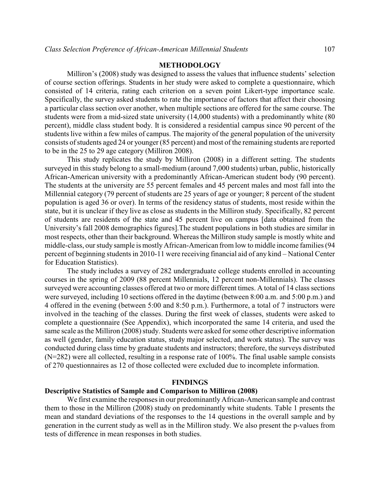# **METHODOLOGY**

Milliron's (2008) study was designed to assess the values that influence students' selection of course section offerings. Students in her study were asked to complete a questionnaire, which consisted of 14 criteria, rating each criterion on a seven point Likert-type importance scale. Specifically, the survey asked students to rate the importance of factors that affect their choosing a particular class section over another, when multiple sections are offered for the same course. The students were from a mid-sized state university (14,000 students) with a predominantly white (80 percent), middle class student body. It is considered a residential campus since 90 percent of the students live within a few miles of campus. The majority of the general population of the university consists of students aged 24 or younger (85 percent) and most of the remaining students are reported to be in the 25 to 29 age category (Milliron 2008).

This study replicates the study by Milliron (2008) in a different setting. The students surveyed in this study belong to a small-medium (around 7,000 students) urban, public, historically African-American university with a predominantly African-American student body (90 percent). The students at the university are 55 percent females and 45 percent males and most fall into the Millennial category (79 percent of students are 25 years of age or younger; 8 percent of the student population is aged 36 or over). In terms of the residency status of students, most reside within the state, but it is unclear if they live as close as students in the Milliron study. Specifically, 82 percent of students are residents of the state and 45 percent live on campus [data obtained from the University's fall 2008 demographics figures].The student populations in both studies are similar in most respects, other than their background. Whereas the Milliron study sample is mostly white and middle-class, our study sample is mostly African-American from low to middle income families (94 percent of beginning students in 2010-11 were receiving financial aid of any kind – National Center for Education Statistics).

The study includes a survey of 282 undergraduate college students enrolled in accounting courses in the spring of 2009 (88 percent Millennials, 12 percent non-Millennials). The classes surveyed were accounting classes offered at two or more different times. A total of 14 class sections were surveyed, including 10 sections offered in the daytime (between 8:00 a.m. and 5:00 p.m.) and 4 offered in the evening (between 5:00 and 8:50 p.m.). Furthermore, a total of 7 instructors were involved in the teaching of the classes. During the first week of classes, students were asked to complete a questionnaire (See Appendix), which incorporated the same 14 criteria, and used the same scale as the Milliron (2008) study. Students were asked for some other descriptive information as well (gender, family education status, study major selected, and work status). The survey was conducted during class time by graduate students and instructors; therefore, the surveys distributed (N=282) were all collected, resulting in a response rate of 100%. The final usable sample consists of 270 questionnaires as 12 of those collected were excluded due to incomplete information.

### **FINDINGS**

# **Descriptive Statistics of Sample and Comparison to Milliron (2008)**

We first examine the responses in our predominantly African-American sample and contrast them to those in the Milliron (2008) study on predominantly white students. Table 1 presents the mean and standard deviations of the responses to the 14 questions in the overall sample and by generation in the current study as well as in the Milliron study. We also present the p-values from tests of difference in mean responses in both studies.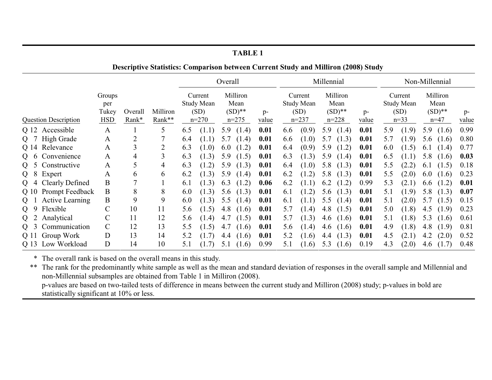| <b>Descriptive Statistics: Comparison between Current Study and Milliron (2008) Study</b> |              |         |                |            |         |           |       |         |                   |                   |            |           |                |     |                   |      |        |       |
|-------------------------------------------------------------------------------------------|--------------|---------|----------------|------------|---------|-----------|-------|---------|-------------------|-------------------|------------|-----------|----------------|-----|-------------------|------|--------|-------|
|                                                                                           |              |         |                | Overall    |         |           |       |         |                   |                   | Millennial |           | Non-Millennial |     |                   |      |        |       |
| Groups                                                                                    |              |         | Current        |            |         | Milliron  |       | Current |                   | Milliron          |            |           | Current        |     | Milliron          |      |        |       |
|                                                                                           | per          |         |                | Study Mean |         |           | Mean  |         |                   | <b>Study Mean</b> |            | Mean      |                |     | <b>Study Mean</b> | Mean |        |       |
|                                                                                           | Tukey        | Overall | Milliron       |            | (SD)    | $(SD)$ ** |       | $p-$    | $(SD)$ **<br>(SD) |                   |            | p-        | (SD)           |     | $(SD)$ **         |      | $p-$   |       |
| <b>Question Description</b>                                                               | <b>HSD</b>   | Rank*   | Rank**         |            | $n=270$ | $n = 275$ |       | value   |                   | $n = 237$         |            | $n = 228$ | value          |     | $n=33$            |      | $n=47$ | value |
| Q 12 Accessible                                                                           | $\mathbf{A}$ |         | 5              | 6.5        | (1.1)   | 5.9       | (1.4) | 0.01    | 6.6               | (0.9)             | 5.9        | (1.4)     | 0.01           | 5.9 | (1.9)             | 5.9  | (1.6)  | 0.99  |
| High Grade<br>$Q$ 7                                                                       | A            | 2       |                | 6.4        | (1.1)   | 5.7       | (1.4) | 0.01    | 6.6               | (1.0)             | 5.7        | (1.3)     | 0.01           | 5.7 | (1.9)             | 5.6  | (1.6)  | 0.80  |
| Q 14 Relevance                                                                            | A            | 3       | $\overline{2}$ | 6.3        | (1.0)   | 6.0       | (1.2) | 0.01    | 6.4               | (0.9)             | 5.9        | (1.2)     | 0.01           | 6.0 | (1.5)             | 6.1  | (1.4)  | 0.77  |
| Convenience<br>$Q_6$                                                                      | A            | 4       | 3              | 6.3        | (1.3)   | 5.9       | (1.5) | 0.01    | 6.3               | (1.3)             | 5.9        | (1.4)     | 0.01           | 6.5 | (1.1)             | 5.8  | (1.6)  | 0.03  |
| Constructive<br>Q <sub>5</sub>                                                            | A            | 5       | 4              | 6.3        | (1.2)   | 5.9       | (1.3) | 0.01    | 6.4               | (1.0)             | 5.8        | (1.3)     | 0.01           | 5.5 | (2.2)             | 6.1  | (1.5)  | 0.18  |
| Expert<br>$Q_8$                                                                           | A            | 6       | 6              | 6.2        | (1.3)   | 5.9       | (1.4) | 0.01    | 6.2               | (1.2)             | 5.8        | (1.3)     | 0.01           | 5.5 | (2.0)             | 6.0  | (1.6)  | 0.23  |
| <b>Clearly Defined</b><br>$Q_4$                                                           | B            |         |                | 6.1        | (1.3)   | 6.3       | (1.2) | 0.06    | 6.2               | (1.1)             | 6.2        | (1.2)     | 0.99           | 5.3 | (2.1)             | 6.6  | (1.2)  | 0.01  |
| <b>Prompt Feedback</b><br>Q 10                                                            | B            | 8       | 8              | 6.0        | (1.3)   | 5.6       | (1.3) | 0.01    | 6.1               | (1.2)             | 5.6        | (1.3)     | 0.01           | 5.1 | (1.9)             | 5.8  | (1.3)  | 0.07  |
| <b>Active Learning</b><br>Q <sub>1</sub>                                                  | B            | 9       | 9              | 6.0        | (1.3)   | 5.5       | (1.4) | 0.01    | 6.1               | (1.1)             | 5.5        | (1.4)     | 0.01           | 5.1 | (2.0)             | 5.7  | (1.5)  | 0.15  |
| Flexible<br>Q <sub>9</sub>                                                                | $\mathsf C$  | 10      | 11             | 5.6        | (1.5)   | 4.8       | (1.6) | 0.01    | 5.7               | (1.4)             | 4.8        | (1.5)     | 0.01           | 5.0 | (1.8)             | 4.5  | (1.9)  | 0.23  |
| Analytical<br>Q <sub>2</sub>                                                              | C            | 11      | 12             | 5.6        | (1.4)   | 4.7       | (1.5) | 0.01    | 5.7               | (1.3)             | 4.6        | (1.6)     | 0.01           | 5.1 | (1.8)             | 5.3  | (1.6)  | 0.61  |
| Communication<br>$Q_3$                                                                    | $\mathsf{C}$ | 12      | 13             | 5.5        | (1.5)   | 4.7       | (1.6) | 0.01    | 5.6               | (1.4)             | 4.6        | (1.6)     | 0.01           | 4.9 | (1.8)             | 4.8  | (1.9)  | 0.81  |
| Group Work<br>Q 11                                                                        | D            | 13      | 14             | 5.2        | (1.7)   | 4.4       | (1.6) | 0.01    | 5.2               | (1.6)             | 4.4        | (1.3)     | 0.01           | 4.5 | (2.1)             | 4.2  | (2.0)  | 0.52  |
| Low Workload<br>Q 13                                                                      | D            | 14      | 10             | 5.1        | (1.7)   | 5.1       | (1.6) | 0.99    | 5.1               | (1.6)             | 5.3        | (1.6)     | 0.19           | 4.3 | (2.0)             | 4.6  | (1.7)  | 0.48  |

\* The overall rank is based on the overall means in this study.

\*\* The rank for the predominantly white sample as well as the mean and standard deviation of responses in the overall sample and Millennial and non-Millennial subsamples are obtained from Table 1 in Milliron (2008). p-values are based on two-tailed tests of difference in means between the current study and Milliron (2008) study; p-values in bold are statistically significant at 10% or less.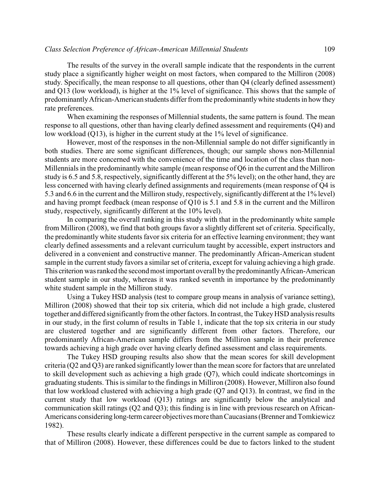### *Class Selection Preference of African-American Millennial Students* 109

The results of the survey in the overall sample indicate that the respondents in the current study place a significantly higher weight on most factors, when compared to the Milliron (2008) study. Specifically, the mean response to all questions, other than Q4 (clearly defined assessment) and Q13 (low workload), is higher at the 1% level of significance. This shows that the sample of predominantlyAfrican-American students differ from the predominantlywhite students in how they rate preferences.

When examining the responses of Millennial students, the same pattern is found. The mean response to all questions, other than having clearly defined assessment and requirements (Q4) and low workload (Q13), is higher in the current study at the 1% level of significance.

However, most of the responses in the non-Millennial sample do not differ significantly in both studies. There are some significant differences, though; our sample shows non-Millennial students are more concerned with the convenience of the time and location of the class than non-Millennials in the predominantlywhite sample (mean response of Q6 in the current and the Milliron study is 6.5 and 5.8, respectively, significantly different at the 5% level); on the other hand, they are less concerned with having clearly defined assignments and requirements (mean response of Q4 is 5.3 and 6.6 in the current and the Milliron study, respectively, significantly different at the 1% level) and having prompt feedback (mean response of Q10 is 5.1 and 5.8 in the current and the Milliron study, respectively, significantly different at the 10% level).

In comparing the overall ranking in this study with that in the predominantly white sample from Milliron (2008), we find that both groups favor a slightly different set of criteria. Specifically, the predominantly white students favor six criteria for an effective learning environment; they want clearly defined assessments and a relevant curriculum taught by accessible, expert instructors and delivered in a convenient and constructive manner. The predominantly African-American student sample in the current study favors a similar set of criteria, except for valuing achieving a high grade. This criterion was ranked the second most important overall bythe predominantlyAfrican-American student sample in our study, whereas it was ranked seventh in importance by the predominantly white student sample in the Milliron study.

Using a Tukey HSD analysis (test to compare group means in analysis of variance setting), Milliron (2008) showed that their top six criteria, which did not include a high grade, clustered together and differed significantly from the other factors. In contrast, the TukeyHSD analysis results in our study, in the first column of results in Table 1, indicate that the top six criteria in our study are clustered together and are significantly different from other factors. Therefore, our predominantly African-American sample differs from the Milliron sample in their preference towards achieving a high grade over having clearly defined assessment and class requirements.

The Tukey HSD grouping results also show that the mean scores for skill development criteria (Q2 and Q3) are ranked significantly lower than the mean score for factors that are unrelated to skill development such as achieving a high grade (Q7), which could indicate shortcomings in graduating students. This is similar to the findings in Milliron (2008). However, Milliron also found that low workload clustered with achieving a high grade (Q7 and Q13). In contrast, we find in the current study that low workload (Q13) ratings are significantly below the analytical and communication skill ratings (Q2 and Q3); this finding is in line with previous research on African-Americans considering long-term career objectives more than Caucasians (Brenner and Tomkiewicz 1982).

These results clearly indicate a different perspective in the current sample as compared to that of Milliron (2008). However, these differences could be due to factors linked to the student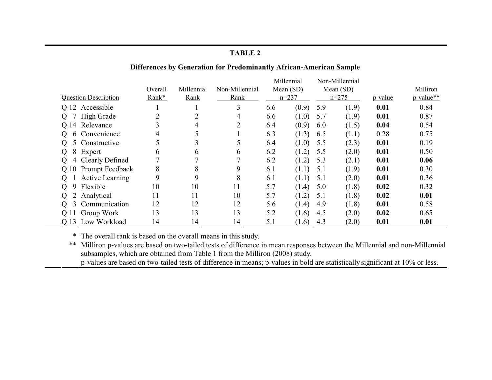# **Differences by Generation for Predominantly African-American Sample**

|                            |                             |         |                |                | Millennial |           | Non-Millennial |           |         |           |  |
|----------------------------|-----------------------------|---------|----------------|----------------|------------|-----------|----------------|-----------|---------|-----------|--|
|                            |                             | Overall | Millennial     | Non-Millennial |            | Mean (SD) |                | Mean (SD) |         | Milliron  |  |
|                            | <b>Question Description</b> | Rank*   | Rank           | Rank           |            | $n=237$   |                | $n=275$   | p-value | p-value** |  |
|                            | Q 12 Accessible             |         |                | 3              | 6.6        | (0.9)     | 5.9            | (1.9)     | 0.01    | 0.84      |  |
|                            | Q 7 High Grade              | າ       | $\overline{2}$ | 4              | 6.6        | (1.0)     | 5.7            | (1.9)     | 0.01    | 0.87      |  |
|                            | Q 14 Relevance              |         | 4              | 2              | 6.4        | (0.9)     | 6.0            | (1.5)     | 0.04    | 0.54      |  |
| $\Omega$                   | 6 Convenience               | 4       | 5              |                | 6.3        | (1.3)     | 6.5            | (1.1)     | 0.28    | 0.75      |  |
|                            | 5 Constructive              |         | $\overline{3}$ |                | 6.4        | (1.0)     | 5.5            | (2.3)     | 0.01    | 0.19      |  |
| $\Omega$                   | 8 Expert                    | h       | 6              | 6              | 6.2        | (1.2)     | 5.5            | (2.0)     | 0.01    | 0.50      |  |
| $\overline{O}$             | 4 Clearly Defined           |         |                |                | 6.2        | (1.2)     | 5.3            | (2.1)     | 0.01    | 0.06      |  |
|                            | Q 10 Prompt Feedback        | 8       | 8              | 9              | 6.1        | (1.1)     | 5.1            | (1.9)     | 0.01    | 0.30      |  |
|                            | <b>Active Learning</b>      | 9       | 9              | 8              | 6.1        | (1.1)     | 5.1            | (2.0)     | 0.01    | 0.36      |  |
| $\Omega$<br>9              | Flexible                    | 10      | 10             | 11             | 5.7        | (1.4)     | 5.0            | (1.8)     | 0.02    | 0.32      |  |
|                            | 2 Analytical                | 11      | 11             | 10             | 5.7        | (1.2)     | 5.1            | (1.8)     | 0.02    | 0.01      |  |
| $\overline{3}$<br>$\sigma$ | Communication               | 12      | 12             | 12             | 5.6        | (1.4)     | 4.9            | (1.8)     | 0.01    | 0.58      |  |
|                            | Q 11 Group Work             | 13      | 13             | 13             | 5.2        | (1.6)     | 4.5            | (2.0)     | 0.02    | 0.65      |  |
| O 13                       | Low Workload                | 14      | 14             | 14             | 5.1        | (1.6)     | 4.3            | (2.0)     | 0.01    | 0.01      |  |

\* The overall rank is based on the overall means in this study.

\*\* Milliron p-values are based on two-tailed tests of difference in mean responses between the Millennial and non-Millennial subsamples, which are obtained from Table 1 from the Milliron (2008) study.

p-values are based on two-tailed tests of difference in means; p-values in bold are statistically significant at 10% or less.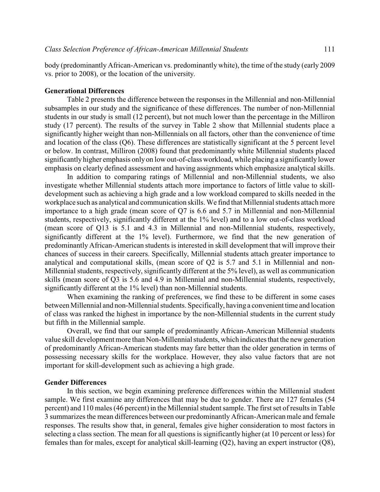body (predominantly African-American vs. predominantly white), the time of the study (early 2009 vs. prior to 2008), or the location of the university.

# **Generational Differences**

Table 2 presents the difference between the responses in the Millennial and non-Millennial subsamples in our study and the significance of these differences. The number of non-Millennial students in our study is small (12 percent), but not much lower than the percentage in the Milliron study (17 percent). The results of the survey in Table 2 show that Millennial students place a significantly higher weight than non-Millennials on all factors, other than the convenience of time and location of the class (Q6). These differences are statistically significant at the 5 percent level or below. In contrast, Milliron (2008) found that predominantly white Millennial students placed significantly higher emphasis only on low out-of-class workload, while placing a significantly lower emphasis on clearly defined assessment and having assignments which emphasize analytical skills.

In addition to comparing ratings of Millennial and non-Millennial students, we also investigate whether Millennial students attach more importance to factors of little value to skilldevelopment such as achieving a high grade and a low workload compared to skills needed in the workplace such as analytical and communication skills. We find that Millennial students attach more importance to a high grade (mean score of Q7 is 6.6 and 5.7 in Millennial and non-Millennial students, respectively, significantly different at the 1% level) and to a low out-of-class workload (mean score of Q13 is 5.1 and 4.3 in Millennial and non-Millennial students, respectively, significantly different at the 1% level). Furthermore, we find that the new generation of predominantly African-American students is interested in skill development that will improve their chances of success in their careers. Specifically, Millennial students attach greater importance to analytical and computational skills, (mean score of Q2 is 5.7 and 5.1 in Millennial and non-Millennial students, respectively, significantly different at the 5% level), as well as communication skills (mean score of Q3 is 5.6 and 4.9 in Millennial and non-Millennial students, respectively, significantly different at the 1% level) than non-Millennial students.

When examining the ranking of preferences, we find these to be different in some cases between Millennial and non-Millennial students. Specifically, having a convenient time and location of class was ranked the highest in importance by the non-Millennial students in the current study but fifth in the Millennial sample.

Overall, we find that our sample of predominantly African-American Millennial students value skill development more than Non-Millennial students, which indicates that the new generation of predominantly African-American students may fare better than the older generation in terms of possessing necessary skills for the workplace. However, they also value factors that are not important for skill-development such as achieving a high grade.

# **Gender Differences**

In this section, we begin examining preference differences within the Millennial student sample. We first examine any differences that may be due to gender. There are 127 females (54 percent) and 110 males (46 percent) in the Millennial student sample. The first set of results in Table 3 summarizes the mean differences between our predominantly African-American male and female responses. The results show that, in general, females give higher consideration to most factors in selecting a class section. The mean for all questions is significantly higher (at 10 percent or less) for females than for males, except for analytical skill-learning (Q2), having an expert instructor (Q8),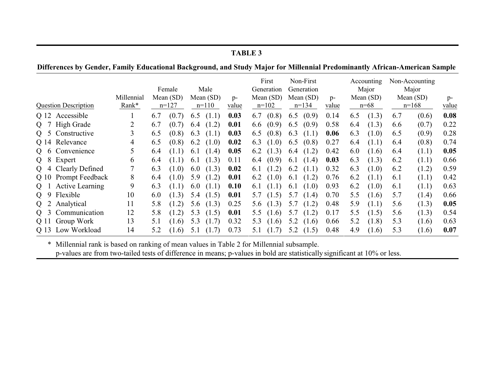|                                                                                                                            | <b>TABLE 3</b>              |                     |                                |       |                                |       |               |     |                                               |     |                                                                    |      |                                                |       |                                                   |       |               |
|----------------------------------------------------------------------------------------------------------------------------|-----------------------------|---------------------|--------------------------------|-------|--------------------------------|-------|---------------|-----|-----------------------------------------------|-----|--------------------------------------------------------------------|------|------------------------------------------------|-------|---------------------------------------------------|-------|---------------|
| Differences by Gender, Family Educational Background, and Study Major for Millennial Predominantly African-American Sample |                             |                     |                                |       |                                |       |               |     |                                               |     |                                                                    |      |                                                |       |                                                   |       |               |
|                                                                                                                            | <b>Question Description</b> | Millennial<br>Rank* | Female<br>Mean (SD)<br>$n=127$ |       | Male<br>Mean $(SD)$<br>$n=110$ |       | $p-$<br>value |     | First<br>Generation<br>Mean $(SD)$<br>$n=102$ |     | Non-First<br>Generation<br>Mean $(SD)$<br>$p-$<br>$n=134$<br>value |      | Accounting<br>Major<br>Mean $(SD)$<br>$n = 68$ |       | Non-Accounting<br>Major<br>Mean $(SD)$<br>$n=168$ |       | $p-$<br>value |
|                                                                                                                            | Q 12 Accessible             |                     | 6.7                            | (0.7) | 6.5                            | (1.1) | 0.03          | 6.7 | (0.8)                                         | 6.5 | (0.9)                                                              | 0.14 | 6.5                                            | (1.3) | 6.7                                               | (0.6) | 0.08          |
| Q                                                                                                                          | <b>High Grade</b>           |                     | 6.7                            | (0.7) | 6.4                            | (1.2) | 0.01          | 6.6 | (0.9)                                         | 6.5 | (0.9)                                                              | 0.58 | 6.4                                            | (1.3) | 6.6                                               | (0.7) | 0.22          |
| $\mathbf{Q}$<br>5                                                                                                          | Constructive                | 3                   | 6.5                            | (0.8) | 6.3                            | (1.1) | 0.03          | 6.5 | (0.8)                                         | 6.3 | (1.1)                                                              | 0.06 | 6.3                                            | (1.0) | 6.5                                               | (0.9) | 0.28          |
| Q 14                                                                                                                       | Relevance                   | 4                   | 6.5                            | (0.8) | 6.2                            | (1.0) | 0.02          | 6.3 | (1.0)                                         | 6.5 | (0.8)                                                              | 0.27 | 6.4                                            | (1.1) | 6.4                                               | (0.8) | 0.74          |
| Q<br>6                                                                                                                     | Convenience                 | 5                   | 6.4                            | (1.1) | 6.1                            | (1.4) | 0.05          | 6.2 | (1.3)                                         | 6.4 | (1.2)                                                              | 0.42 | 6.0                                            | (1.6) | 6.4                                               | (1.1) | 0.05          |
| 8<br>$\mathbf{Q}$                                                                                                          | Expert                      | 6                   | 6.4                            | (1.1) | 6.1                            | (1.3) | 0.11          | 6.4 | (0.9)                                         | 6.1 | (1.4)                                                              | 0.03 | 6.3                                            | (1.3) | 6.2                                               | (1.1) | 0.66          |
| $\overline{O}$                                                                                                             | Clearly Defined             |                     | 6.3                            | (1.0) | 6.0                            | (1.3) | 0.02          | 6.1 | (1.2)                                         | 6.2 | (1.1)                                                              | 0.32 | 6.3                                            | (1.0) | 6.2                                               | (1.2) | 0.59          |
| Q 10                                                                                                                       | <b>Prompt Feedback</b>      | 8                   | 6.4                            | (1.0) | 5.9                            | (1.2) | 0.01          | 6.2 | (1.0)                                         | 6.1 | (1.2)                                                              | 0.76 | 6.2                                            | (1.1) | 6.1                                               | (1.1) | 0.42          |
| Q                                                                                                                          | <b>Active Learning</b>      | 9                   | 6.3                            | (1.1) | 6.0                            | (1.1) | 0.10          | 6.1 | (1.1)                                         | 6.1 | (1.0)                                                              | 0.93 | 6.2                                            | (1.0) | 6.1                                               | (1.1) | 0.63          |
| 9<br>$\overline{O}$                                                                                                        | Flexible                    | 10                  | 6.0                            | (1.3) | 5.4                            | (1.5) | 0.01          | 5.7 | (1.5)                                         | 5.7 | (1.4)                                                              | 0.70 | 5.5                                            | (1.6) | 5.7                                               | (1.4) | 0.66          |
| 2<br>Q                                                                                                                     | Analytical                  | 11                  | 5.8                            | (1.2) | 5.6                            | (1.3) | 0.25          | 5.6 | (1.3)                                         | 5.7 | (1.2)                                                              | 0.48 | 5.9                                            | (1.1) | 5.6                                               | (1.3) | 0.05          |
| $\overline{3}$<br>$\mathbf{Q}$                                                                                             | Communication               | 12                  | 5.8                            | (1.2) | 5.3                            | (1.5) | 0.01          | 5.5 | (1.6)                                         | 5.7 | (1.2)                                                              | 0.17 | 5.5                                            | (1.5) | 5.6                                               | (1.3) | 0.54          |
|                                                                                                                            | Q 11 Group Work             | 13                  | 5.1                            | (1.6) | 5.3                            | (1.7) | 0.32          | 5.3 | (1.6)                                         | 5.2 | (1.6)                                                              | 0.66 | 5.2                                            | (1.8) | 5.3                                               | (1.6) | 0.63          |
| Q 13                                                                                                                       | Low Workload                | 14                  | 5.2                            | (1.6) | 5.1                            | (1.7) | 0.73          | 5.1 | (1.7)                                         | 5.2 | (1.5)                                                              | 0.48 | 4.9                                            | (1.6) | 5.3                                               | (1.6) | 0.07          |

\* Millennial rank is based on ranking of mean values in Table 2 for Millennial subsample.

p-values are from two-tailed tests of difference in means; p-values in bold are statistically significant at 10% or less.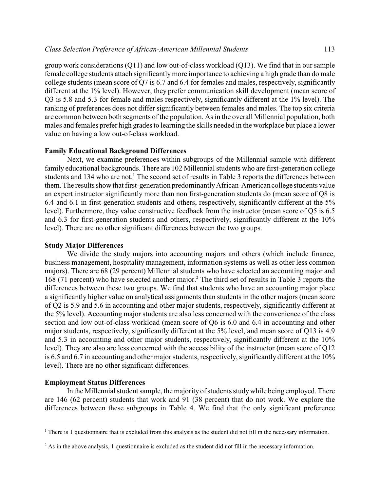group work considerations (Q11) and low out-of-class workload (Q13). We find that in our sample female college students attach significantlymore importance to achieving a high grade than do male college students (mean score of Q7 is 6.7 and 6.4 for females and males, respectively, significantly different at the 1% level). However, they prefer communication skill development (mean score of Q3 is 5.8 and 5.3 for female and males respectively, significantly different at the 1% level). The ranking of preferences does not differ significantly between females and males. The top six criteria are common between both segments of the population. As in the overall Millennial population, both males and females prefer high grades to learning the skills needed in the workplace but place a lower value on having a low out-of-class workload.

### **Family Educational Background Differences**

Next, we examine preferences within subgroups of the Millennial sample with different family educational backgrounds. There are 102 Millennial students who are first-generation college students and 134 who are not.<sup>1</sup> The second set of results in Table 3 reports the differences between them. The results show that first-generation predominantlyAfrican-American college students value an expert instructor significantly more than non first-generation students do (mean score of Q8 is 6.4 and 6.1 in first-generation students and others, respectively, significantly different at the 5% level). Furthermore, they value constructive feedback from the instructor (mean score of Q5 is 6.5 and 6.3 for first-generation students and others, respectively, significantly different at the 10% level). There are no other significant differences between the two groups.

### **Study Major Differences**

We divide the study majors into accounting majors and others (which include finance, business management, hospitality management, information systems as well as other less common majors). There are 68 (29 percent) Millennial students who have selected an accounting major and 168 (71 percent) who have selected another major.<sup>2</sup> The third set of results in Table 3 reports the differences between these two groups. We find that students who have an accounting major place a significantly higher value on analytical assignments than students in the other majors (mean score of Q2 is 5.9 and 5.6 in accounting and other major students, respectively, significantly different at the 5% level). Accounting major students are also less concerned with the convenience of the class section and low out-of-class workload (mean score of Q6 is 6.0 and 6.4 in accounting and other major students, respectively, significantly different at the 5% level, and mean score of Q13 is 4.9 and 5.3 in accounting and other major students, respectively, significantly different at the 10% level). They are also are less concerned with the accessibility of the instructor (mean score of Q12 is 6.5 and 6.7 in accounting and other major students, respectively, significantly different at the 10% level). There are no other significant differences.

## **Employment Status Differences**

In the Millennial student sample, the majority of students studywhile being employed. There are 146 (62 percent) students that work and 91 (38 percent) that do not work. We explore the differences between these subgroups in Table 4. We find that the only significant preference

 $1$ <sup>1</sup> There is 1 questionnaire that is excluded from this analysis as the student did not fill in the necessary information.

 $2^2$  As in the above analysis, 1 questionnaire is excluded as the student did not fill in the necessary information.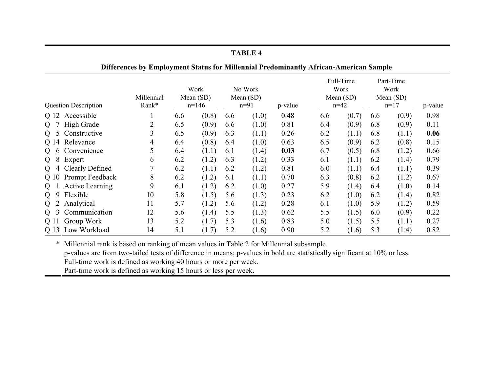|                                                 | Differences by Employment Status for Millennial Predominantly African-American Sample |                              |       |     |                                  |         |                                            |       |                                            |       |         |  |
|-------------------------------------------------|---------------------------------------------------------------------------------------|------------------------------|-------|-----|----------------------------------|---------|--------------------------------------------|-------|--------------------------------------------|-------|---------|--|
| <b>Question Description</b>                     | Millennial<br>Rank*                                                                   | Work<br>Mean (SD)<br>$n=146$ |       |     | No Work<br>Mean $(SD)$<br>$n=91$ | p-value | Full-Time<br>Work<br>Mean (SD)<br>$n = 42$ |       | Part-Time<br>Work<br>Mean $(SD)$<br>$n=17$ |       | p-value |  |
| Q 12 Accessible                                 |                                                                                       | 6.6                          | (0.8) | 6.6 | (1.0)                            | 0.48    | 6.6                                        | (0.7) | 6.6                                        | (0.9) | 0.98    |  |
| High Grade<br>$\mathbf{O}$                      | $\overline{2}$                                                                        | 6.5                          | (0.9) | 6.6 | (1.0)                            | 0.81    | 6.4                                        | (0.9) | 6.8                                        | (0.9) | 0.11    |  |
| Constructive                                    | 3                                                                                     | 6.5                          | (0.9) | 6.3 | (1.1)                            | 0.26    | 6.2                                        | (1.1) | 6.8                                        | (1.1) | 0.06    |  |
| Q 14 Relevance                                  | 4                                                                                     | 6.4                          | (0.8) | 6.4 | (1.0)                            | 0.63    | 6.5                                        | (0.9) | 6.2                                        | (0.8) | 0.15    |  |
| 6 Convenience                                   | 5                                                                                     | 6.4                          | (1.1) | 6.1 | (1.4)                            | 0.03    | 6.7                                        | (0.5) | 6.8                                        | (1.2) | 0.66    |  |
| Expert<br>8<br>$\Omega$                         | 6                                                                                     | 6.2                          | (1.2) | 6.3 | (1.2)                            | 0.33    | 6.1                                        | (1.1) | 6.2                                        | (1.4) | 0.79    |  |
| 4 Clearly Defined<br>$\mathbf{O}$               | 7                                                                                     | 6.2                          | (1.1) | 6.2 | (1.2)                            | 0.81    | 6.0                                        | (1.1) | 6.4                                        | (1.1) | 0.39    |  |
| Q 10 Prompt Feedback                            | 8                                                                                     | 6.2                          | (1.2) | 6.1 | (1.1)                            | 0.70    | 6.3                                        | (0.8) | 6.2                                        | (1.2) | 0.67    |  |
| <b>Active Learning</b><br>$\mathbf{O}$          | 9                                                                                     | 6.1                          | (1.2) | 6.2 | (1.0)                            | 0.27    | 5.9                                        | (1.4) | 6.4                                        | (1.0) | 0.14    |  |
| Flexible<br>$\overline{O}$<br>9                 | 10                                                                                    | 5.8                          | (1.5) | 5.6 | (1.3)                            | 0.23    | 6.2                                        | (1.0) | 6.2                                        | (1.4) | 0.82    |  |
| Analytical<br>$\mathbf{O}$                      | 11                                                                                    | 5.7                          | (1.2) | 5.6 | (1.2)                            | 0.28    | 6.1                                        | (1.0) | 5.9                                        | (1.2) | 0.59    |  |
| Communication<br>$\mathbf{O}$<br>$\mathfrak{I}$ | 12                                                                                    | 5.6                          | (1.4) | 5.5 | (1.3)                            | 0.62    | 5.5                                        | (1.5) | 6.0                                        | (0.9) | 0.22    |  |
| Q 11 Group Work                                 | 13                                                                                    | 5.2                          | (1.7) | 5.3 | (1.6)                            | 0.83    | 5.0                                        | (1.5) | 5.5                                        | (1.1) | 0.27    |  |
| Q 13 Low Workload                               | 14                                                                                    | 5.1                          | (1.7) | 5.2 | (1.6)                            | 0.90    | 5.2                                        | (1.6) | 5.3                                        | (1.4) | 0.82    |  |

\* Millennial rank is based on ranking of mean values in Table 2 for Millennial subsample.

p-values are from two-tailed tests of difference in means; p-values in bold are statistically significant at 10% or less.

Full-time work is defined as working 40 hours or more per week.

Part-time work is defined as working 15 hours or less per week.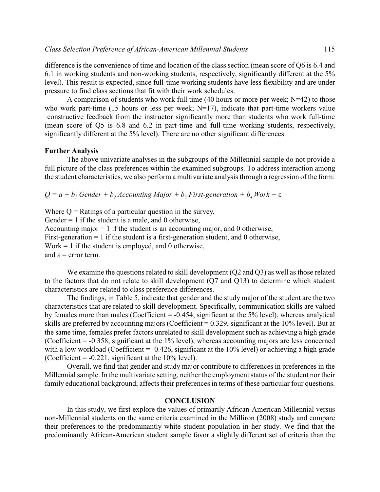difference is the convenience of time and location of the class section (mean score of Q6 is 6.4 and 6.1 in working students and non-working students, respectively, significantly different at the 5% level). This result is expected, since full-time working students have less flexibility and are under pressure to find class sections that fit with their work schedules.

A comparison of students who work full time (40 hours or more per week;  $N=42$ ) to those who work part-time (15 hours or less per week;  $N=17$ ), indicate that part-time workers value constructive feedback from the instructor significantly more than students who work full-time (mean score of Q5 is 6.8 and 6.2 in part-time and full-time working students, respectively, significantly different at the 5% level). There are no other significant differences.

### **Further Analysis**

The above univariate analyses in the subgroups of the Millennial sample do not provide a full picture of the class preferences within the examined subgroups. To address interaction among the student characteristics, we also perform a multivariate analysis through a regression of the form:

 $Q = a + b<sub>1</sub>$  *Gender* +  $b<sub>2</sub>$  *Accounting Major* +  $b<sub>3</sub>$  *First-generation* +  $b<sub>4</sub>$  *Work* +  $\varepsilon$ 

Where  $Q =$  Ratings of a particular question in the survey, Gender  $= 1$  if the student is a male, and 0 otherwise, Accounting major  $= 1$  if the student is an accounting major, and 0 otherwise, First-generation  $= 1$  if the student is a first-generation student, and 0 otherwise, Work  $= 1$  if the student is employed, and 0 otherwise, and  $\varepsilon$  = error term.

We examine the questions related to skill development (Q2 and Q3) as well as those related to the factors that do not relate to skill development (Q7 and Q13) to determine which student characteristics are related to class preference differences.

The findings, in Table 5, indicate that gender and the study major of the student are the two characteristics that are related to skill development. Specifically, communication skills are valued by females more than males (Coefficient = -0.454, significant at the 5% level), whereas analytical skills are preferred by accounting majors (Coefficient = 0.329, significant at the 10% level). But at the same time, females prefer factors unrelated to skill development such as achieving a high grade (Coefficient = -0.358, significant at the 1% level), whereas accounting majors are less concerned with a low workload (Coefficient =  $-0.426$ , significant at the 10% level) or achieving a high grade (Coefficient =  $-0.221$ , significant at the 10% level).

Overall, we find that gender and study major contribute to differences in preferences in the Millennial sample. In the multivariate setting, neither the employment status of the student nor their family educational background, affects their preferences in terms of these particular four questions.

# **CONCLUSION**

In this study, we first explore the values of primarily African-American Millennial versus non-Millennial students on the same criteria examined in the Milliron (2008) study and compare their preferences to the predominantly white student population in her study. We find that the predominantly African-American student sample favor a slightly different set of criteria than the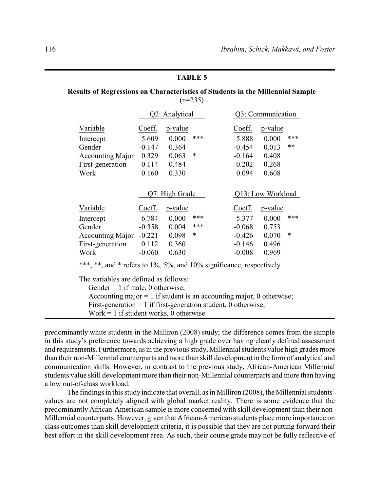# **Results of Regressions on Characteristics of Students in the Millennial Sample**  $(n=235)$

|                                                                                                                                          |          | Q2: Analytical |        |  | Q3: Communication |                   |      |  |  |  |  |
|------------------------------------------------------------------------------------------------------------------------------------------|----------|----------------|--------|--|-------------------|-------------------|------|--|--|--|--|
| Variable                                                                                                                                 | Coeff.   | p-value        |        |  | Coeff.            | <u>p-value</u>    |      |  |  |  |  |
| Intercept                                                                                                                                | 5.609    | 0.000          | ***    |  | 5.888             | 0.000             | ***  |  |  |  |  |
| Gender                                                                                                                                   | $-0.147$ | 0.364          |        |  | $-0.454$          | 0.013             | $**$ |  |  |  |  |
| <b>Accounting Major</b>                                                                                                                  | 0.329    | 0.063          | $\ast$ |  | $-0.164$          | 0.408             |      |  |  |  |  |
| First-generation                                                                                                                         | $-0.114$ | 0.484          |        |  | $-0.202$          | 0.268             |      |  |  |  |  |
| Work                                                                                                                                     | 0.160    | 0.330          |        |  | 0.094             | 0.608             |      |  |  |  |  |
|                                                                                                                                          |          |                |        |  |                   |                   |      |  |  |  |  |
|                                                                                                                                          |          | Q7: High Grade |        |  |                   | Q13: Low Workload |      |  |  |  |  |
| Variable                                                                                                                                 | Coeff.   | p-value        |        |  | Coeff.            | p-value           |      |  |  |  |  |
| Intercept                                                                                                                                | 6.784    | 0.000          | ***    |  | 5.377             | 0.000             | ***  |  |  |  |  |
| Gender                                                                                                                                   | $-0.358$ | 0.004          | ***    |  | $-0.068$          | 0.753             |      |  |  |  |  |
| <b>Accounting Major</b>                                                                                                                  | $-0.221$ | 0.098          | $\ast$ |  | $-0.426$          | 0.070             | *    |  |  |  |  |
| First-generation                                                                                                                         | 0.112    | 0.360          |        |  | $-0.146$          | 0.496             |      |  |  |  |  |
| Work                                                                                                                                     | $-0.060$ | 0.630          |        |  | $-0.008$          | 0.969             |      |  |  |  |  |
| ***, **, and * refers to 1%, 5%, and 10% significance, respectively                                                                      |          |                |        |  |                   |                   |      |  |  |  |  |
| The variables are defined as follows:                                                                                                    |          |                |        |  |                   |                   |      |  |  |  |  |
| Gender = 1 if male, 0 otherwise;                                                                                                         |          |                |        |  |                   |                   |      |  |  |  |  |
|                                                                                                                                          |          |                |        |  |                   |                   |      |  |  |  |  |
| Accounting major $= 1$ if student is an accounting major, 0 otherwise;<br>First-generation = 1 if first-generation student, 0 otherwise; |          |                |        |  |                   |                   |      |  |  |  |  |

Work  $= 1$  if student works, 0 otherwise.

predominantly white students in the Milliron (2008) study; the difference comes from the sample in this study's preference towards achieving a high grade over having clearly defined assessment and requirements. Furthermore, as in the previous study, Millennial students value high grades more than their non-Millennial counterparts and more than skill development in the form of analytical and communication skills. However, in contrast to the previous study, African-American Millennial students value skill development more than their non-Millennial counterparts and more than having a low out-of-class workload.

The findings in this study indicate that overall, as in Milliron (2008), the Millennial students' values are not completely aligned with global market reality. There is some evidence that the predominantly African-American sample is more concerned with skill development than their non-Millennial counterparts. However, given that African-American students place more importance on class outcomes than skill development criteria, it is possible that they are not putting forward their best effort in the skill development area. As such, their course grade may not be fully reflective of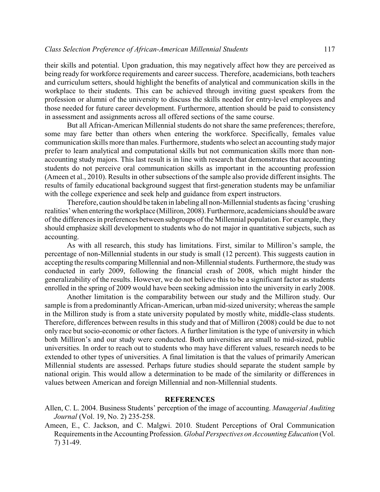their skills and potential. Upon graduation, this may negatively affect how they are perceived as being ready for workforce requirements and career success. Therefore, academicians, both teachers and curriculum setters, should highlight the benefits of analytical and communication skills in the workplace to their students. This can be achieved through inviting guest speakers from the profession or alumni of the university to discuss the skills needed for entry-level employees and those needed for future career development. Furthermore, attention should be paid to consistency in assessment and assignments across all offered sections of the same course.

But all African-American Millennial students do not share the same preferences; therefore, some may fare better than others when entering the workforce. Specifically, females value communication skills more than males. Furthermore, students who select an accounting studymajor prefer to learn analytical and computational skills but not communication skills more than nonaccounting study majors. This last result is in line with research that demonstrates that accounting students do not perceive oral communication skills as important in the accounting profession (Ameen et al., 2010). Results in other subsections of the sample also provide different insights. The results of family educational background suggest that first-generation students may be unfamiliar with the college experience and seek help and guidance from expert instructors.

Therefore, caution should be taken in labeling all non-Millennial students as facing 'crushing realities' when entering the workplace (Milliron, 2008). Furthermore, academicians should be aware of the differences in preferences between subgroups of the Millennial population. For example, they should emphasize skill development to students who do not major in quantitative subjects, such as accounting.

As with all research, this study has limitations. First, similar to Milliron's sample, the percentage of non-Millennial students in our study is small (12 percent). This suggests caution in accepting the results comparing Millennial and non-Millennial students. Furthermore, the studywas conducted in early 2009, following the financial crash of 2008, which might hinder the generalizability of the results. However, we do not believe this to be a significant factor as students enrolled in the spring of 2009 would have been seeking admission into the university in early 2008.

Another limitation is the comparability between our study and the Milliron study. Our sample is from a predominantly African-American, urban mid-sized university; whereas the sample in the Milliron study is from a state university populated by mostly white, middle-class students. Therefore, differences between results in this study and that of Milliron (2008) could be due to not only race but socio-economic or other factors. A further limitation is the type of university in which both Milliron's and our study were conducted. Both universities are small to mid-sized, public universities. In order to reach out to students who may have different values, research needs to be extended to other types of universities. A final limitation is that the values of primarily American Millennial students are assessed. Perhaps future studies should separate the student sample by national origin. This would allow a determination to be made of the similarity or differences in values between American and foreign Millennial and non-Millennial students.

# **REFERENCES**

- Allen, C. L. 2004. Business Students' perception of the image of accounting. *Managerial Auditing Journal* (Vol. 19, No. 2) 235-258.
- Ameen, E., C. Jackson, and C. Malgwi. 2010. Student Perceptions of Oral Communication Requirements in the AccountingProfession. *Global Perspectives on Accounting Education* (Vol. 7) 31-49.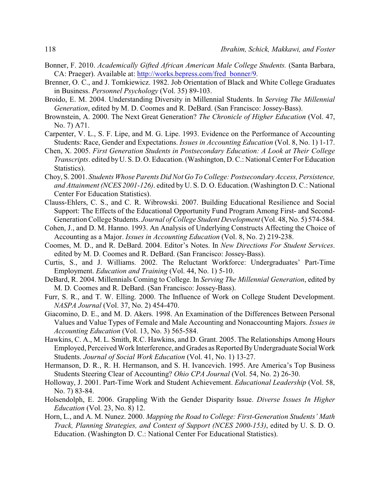- Bonner, F. 2010. *Academically Gifted African American Male College Students.* (Santa Barbara, CA: Praeger). Available at: [http://works.bepress.com/fred\\_bonner/9](http://works.bepress.com/fred_bonner/9).
- Brenner, O. C., and J. Tomkiewicz. 1982. Job Orientation of Black and White College Graduates in Business. *Personnel Psychology* (Vol. 35) 89-103.
- Broido, E. M. 2004. Understanding Diversity in Millennial Students. In *Serving The Millennial Generation*, edited by M. D. Coomes and R. DeBard. (San Francisco: Jossey-Bass).
- Brownstein, A. 2000. The Next Great Generation? *The Chronicle of Higher Education* (Vol. 47, No. 7) A71.
- Carpenter, V. L., S. F. Lipe, and M. G. Lipe. 1993. Evidence on the Performance of Accounting Students: Race, Gender and Expectations. *Issues in Accounting Education* (Vol. 8, No. 1) 1-17.
- Chen, X. 2005. *First Generation Students in Postsecondary Education: A Look at Their College Transcripts*. edited byU. S. D. O. Education. (Washington, D. C.: National Center For Education Statistics).
- Choy, S. 2001. *Students Whose Parents Did Not Go To College: Postsecondary Access, Persistence, and Attainment (NCES 2001-126)*. edited by U. S. D. O. Education. (Washington D.C.: National Center For Education Statistics).
- Clauss-Ehlers, C. S., and C. R. Wibrowski. 2007. Building Educational Resilience and Social Support: The Effects of the Educational Opportunity Fund Program Among First- and Second-Generation College Students. *Journal of College Student Development*(Vol. 48, No. 5) 574-584.
- Cohen, J., and D. M. Hanno. 1993. An Analysis of Underlying Constructs Affecting the Choice of Accounting as a Major. *Issues in Accounting Education* (Vol. 8, No. 2) 219-238.
- Coomes, M. D., and R. DeBard. 2004. Editor's Notes. In *New Directions For Student Services*. edited by M. D. Coomes and R. DeBard. (San Francisco: Jossey-Bass).
- Curtis, S., and J. Williams. 2002. The Reluctant Workforce: Undergraduates' Part-Time Employment. *Education and Training* (Vol. 44, No. 1) 5-10.
- DeBard, R. 2004. Millennials Coming to College. In *Serving The Millennial Generation*, edited by M. D. Coomes and R. DeBard. (San Francisco: Jossey-Bass).
- Furr, S. R., and T. W. Elling. 2000. The Influence of Work on College Student Development. *NASPA Journal* (Vol. 37, No. 2) 454-470.
- Giacomino, D. E., and M. D. Akers. 1998. An Examination of the Differences Between Personal Values and Value Types of Female and Male Accounting and Nonaccounting Majors. *Issues in Accounting Education* (Vol. 13, No. 3) 565-584.
- Hawkins, C. A., M. L. Smith, R.C. Hawkins, and D. Grant. 2005. The Relationships Among Hours Employed, Perceived Work Interference, and Grades as Reported ByUndergraduate SocialWork Students. *Journal of Social Work Education* (Vol. 41, No. 1) 13-27.
- Hermanson, D. R., R. H. Hermanson, and S. H. Ivancevich. 1995. Are America's Top Business Students Steering Clear of Accounting? *Ohio CPA Journal* (Vol. 54, No. 2) 26-30.
- Holloway, J. 2001. Part-Time Work and Student Achievement. *Educational Leadership* (Vol. 58, No. 7) 83-84.
- Holsendolph, E. 2006. Grappling With the Gender Disparity Issue. *Diverse Issues In Higher Education* (Vol. 23, No. 8) 12.
- Horn, L., and A. M. Nunez. 2000. *Mapping the Road to College: First-Generation Students' Math Track, Planning Strategies, and Context of Support (NCES 2000-153)*, edited by U. S. D. O. Education. (Washington D. C.: National Center For Educational Statistics).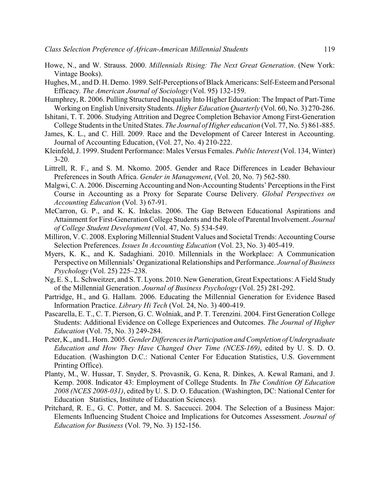- Howe, N., and W. Strauss. 2000. *Millennials Rising: The Next Great Generation*. (New York: Vintage Books).
- Hughes, M., and D. H. Demo. 1989. Self-Perceptions of Black Americans: Self-Esteem and Personal Efficacy. *The American Journal of Sociology* (Vol. 95) 132-159.
- Humphrey, R. 2006. Pulling Structured Inequality Into Higher Education: The Impact of Part-Time Working on English University Students. *Higher Education Quarterly* (Vol. 60, No. 3) 270-286.
- Ishitani, T. T. 2006. Studying Attrition and Degree Completion Behavior Among First-Generation College Students in the United States. *The Journal of Higher education* (Vol. 77, No. 5) 861-885.
- James, K. L., and C. Hill. 2009. Race and the Development of Career Interest in Accounting. Journal of Accounting Education, (Vol. 27, No. 4) 210-222.
- Kleinfeld, J. 1999. Student Performance: Males Versus Females. *Public Interest* (Vol. 134, Winter) 3-20.
- Littrell, R. F., and S. M. Nkomo. 2005. Gender and Race Differences in Leader Behaviour Preferences in South Africa. *Gender in Management*, (Vol. 20, No. 7) 562-580.
- Malgwi, C. A. 2006. Discerning Accounting and Non-Accounting Students' Perceptions in the First Course in Accounting as a Proxy for Separate Course Delivery. *Global Perspectives on Accounting Education* (Vol. 3) 67-91.
- McCarron, G. P., and K. K. Inkelas. 2006. The Gap Between Educational Aspirations and Attainment for First-Generation College Students and the Role of Parental Involvement. *Journal of College Student Development* (Vol. 47, No. 5) 534-549.
- Milliron, V. C. 2008. Exploring Millennial Student Values and Societal Trends: AccountingCourse Selection Preferences. *Issues In Accounting Education* (Vol. 23, No. 3) 405-419.
- Myers, K. K., and K. Sadaghiani. 2010. Millennials in the Workplace: A Communication Perspective on Millennials' Organizational Relationships and Performance. *Journal of Business Psychology* (Vol. 25) 225–238.
- Ng, E. S., L. Schweitzer, and S. T. Lyons. 2010. New Generation, Great Expectations: A Field Study of the Millennial Generation. *Journal of Business Psychology* (Vol. 25) 281-292.
- Partridge, H., and G. Hallam. 2006. Educating the Millennial Generation for Evidence Based Information Practice. *Library Hi Tech* (Vol. 24, No. 3) 400-419.
- Pascarella, E. T., C. T. Pierson, G. C. Wolniak, and P. T. Terenzini. 2004. First Generation College Students: Additional Evidence on College Experiences and Outcomes. *The Journal of Higher Education* (Vol. 75, No. 3) 249-284.
- Peter, K., and L. Horn. 2005. *Gender DifferencesinParticipation and Completion of Undergraduate Education and How They Have Changed Over Time (NCES-169)*, edited by U. S. D. O. Education. (Washington D.C.: National Center For Education Statistics, U.S. Government Printing Office).
- Planty, M., W. Hussar, T. Snyder, S. Provasnik, G. Kena, R. Dinkes, A. Kewal Ramani, and J. Kemp. 2008. Indicator 43: Employment of College Students. In *The Condition Of Education 2008 (NCES 2008-031)*, edited by U. S. D. O. Education. (Washington, DC: National Center for Education Statistics, Institute of Education Sciences).
- Pritchard, R. E., G. C. Potter, and M. S. Saccucci. 2004. The Selection of a Business Major: Elements Influencing Student Choice and Implications for Outcomes Assessment. *Journal of Education for Business* (Vol. 79, No. 3) 152-156.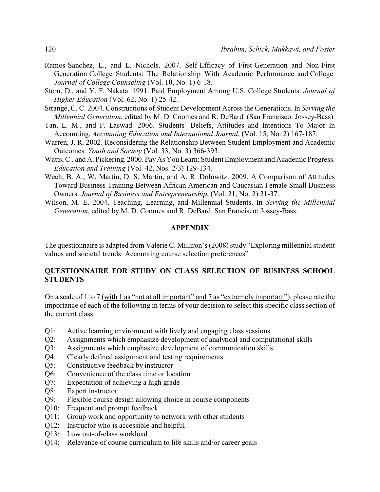- Ramos-Sanchez, L., and L. Nichols. 2007. Self-Efficacy of First-Generation and Non-First Generation College Students: The Relationship With Academic Performance and College. *Journal of College Counseling* (Vol. 10, No. 1) 6-18.
- Stern, D., and Y. F. Nakata. 1991. Paid Employment Among U.S. College Students. *Journal of Higher Education* (Vol. 62, No. 1) 25-42.
- Strange, C. C. 2004. Constructions of Student Development Across the Generations. In *Serving the Millennial Generation*, edited by M. D. Coomes and R. DeBard. (San Francisco: Jossey-Bass).
- Tan, L. M., and F. Laswad. 2006. Students' Beliefs, Attitudes and Intentions To Major In Accounting. *Accounting Education and International Journal*, (Vol. 15, No. 2) 167-187.
- Warren, J. R. 2002. Reconsidering the Relationship Between Student Employment and Academic Outcomes. *Youth and Society* (Vol. 33, No. 3) 366-393.
- Watts, C., and A. Pickering. 2000. Pay As You Learn: Student Employment and Academic Progress. *Education and Training* (Vol. 42, Nos. 2/3) 129-134.
- Wech, B. A., W. Martin, D. S. Martin, and A. R. Dolowitz. 2009. A Comparison of Attitudes Toward Business Training Between African American and Caucasian Female Small Business Owners. *Journal of Business and Entrepreneurship*, (Vol. 21, No. 2) 21-37.
- Wilson, M. E. 2004. Teaching, Learning, and Millennial Students. In *Serving the Millennial Generation*, edited by M. D. Coomes and R. DeBard. San Francisco: Jossey-Bass.

#### **APPENDIX**

The questionnaire is adapted from Valerie C. Milliron's (2008) study "Exploring millennial student values and societal trends: Accounting course selection preferences"

# **QUESTIONNAIRE FOR STUDY ON CLASS SELECTION OF BUSINESS SCHOOL STUDENTS**

On a scale of 1 to 7 (with 1 as "not at all important" and 7 as "extremely important"), please rate the importance of each of the following in terms of your decision to select this specific class section of the current class:

- Q1: Active learning environment with lively and engaging class sessions
- Q2: Assignments which emphasize development of analytical and computational skills
- Q3: Assignments which emphasize development of communication skills
- Q4: Clearly defined assignment and testing requirements
- Q5: Constructive feedback by instructor
- Q6: Convenience of the class time or location
- Q7: Expectation of achieving a high grade
- Q8: Expert instructor
- Q9: Flexible course design allowing choice in course components
- Q10: Frequent and prompt feedback
- Q11: Group work and opportunity to network with other students
- Q12: Instructor who is accessible and helpful
- Q13: Low out-of-class workload
- Q14: Relevance of course curriculum to life skills and/or career goals